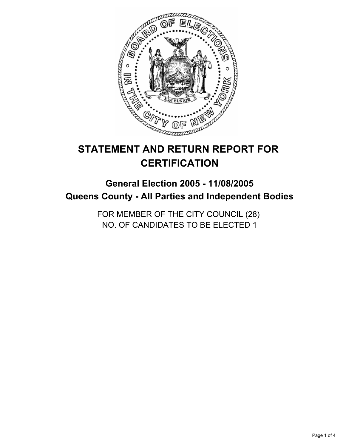

# **STATEMENT AND RETURN REPORT FOR CERTIFICATION**

# **General Election 2005 - 11/08/2005 Queens County - All Parties and Independent Bodies**

FOR MEMBER OF THE CITY COUNCIL (28) NO. OF CANDIDATES TO BE ELECTED 1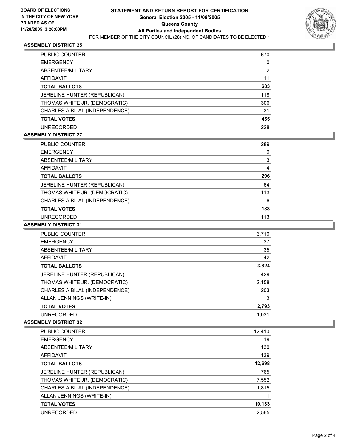

### **ASSEMBLY DISTRICT 25**

| <b>PUBLIC COUNTER</b>          | 670 |
|--------------------------------|-----|
| <b>EMERGENCY</b>               | Ü   |
| ABSENTEE/MILITARY              | 2   |
| AFFIDAVIT                      |     |
| <b>TOTAL BALLOTS</b>           | 683 |
| JERELINE HUNTER (REPUBLICAN)   | 118 |
| THOMAS WHITE JR. (DEMOCRATIC)  | 306 |
| CHARLES A BILAL (INDEPENDENCE) | 31  |
| <b>TOTAL VOTES</b>             | 455 |
| <b>UNRECORDED</b>              | 228 |

#### **ASSEMBLY DISTRICT 27**

| <b>PUBLIC COUNTER</b>          | 289 |
|--------------------------------|-----|
| <b>EMERGENCY</b>               | U   |
| ABSENTEE/MILITARY              | 3   |
| AFFIDAVIT                      |     |
| <b>TOTAL BALLOTS</b>           | 296 |
| JERELINE HUNTER (REPUBLICAN)   | 64  |
| THOMAS WHITE JR. (DEMOCRATIC)  | 113 |
| CHARLES A BILAL (INDEPENDENCE) | 6   |
| <b>TOTAL VOTES</b>             | 183 |
| <b>UNRECORDED</b>              | 113 |

#### **ASSEMBLY DISTRICT 31**

| <b>PUBLIC COUNTER</b>          | 3,710 |
|--------------------------------|-------|
| <b>EMERGENCY</b>               | 37    |
| ABSENTEE/MILITARY              | 35    |
| AFFIDAVIT                      | 42    |
| <b>TOTAL BALLOTS</b>           | 3,824 |
| JERELINE HUNTER (REPUBLICAN)   | 429   |
| THOMAS WHITE JR. (DEMOCRATIC)  | 2,158 |
| CHARLES A BILAL (INDEPENDENCE) | 203   |
| ALLAN JENNINGS (WRITE-IN)      | 3     |
| <b>TOTAL VOTES</b>             | 2,793 |
| <b>UNRECORDED</b>              | 1.031 |

# **ASSEMBLY DISTRICT 32**

| PUBLIC COUNTER                 | 12,410 |
|--------------------------------|--------|
| <b>EMERGENCY</b>               | 19     |
| ABSENTEE/MILITARY              | 130    |
| <b>AFFIDAVIT</b>               | 139    |
| <b>TOTAL BALLOTS</b>           | 12,698 |
| JERELINE HUNTER (REPUBLICAN)   | 765    |
| THOMAS WHITE JR. (DEMOCRATIC)  | 7,552  |
| CHARLES A BILAL (INDEPENDENCE) | 1,815  |
| ALLAN JENNINGS (WRITE-IN)      |        |
| <b>TOTAL VOTES</b>             | 10,133 |
| <b>UNRECORDED</b>              | 2.565  |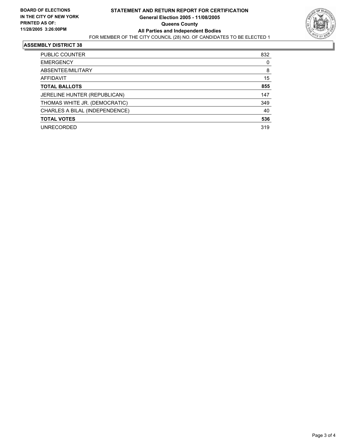

#### **ASSEMBLY DISTRICT 38**

| PUBLIC COUNTER                 | 832 |
|--------------------------------|-----|
| <b>EMERGENCY</b>               | 0   |
| ABSENTEE/MILITARY              | 8   |
| AFFIDAVIT                      | 15  |
| <b>TOTAL BALLOTS</b>           | 855 |
| JERELINE HUNTER (REPUBLICAN)   | 147 |
| THOMAS WHITE JR. (DEMOCRATIC)  | 349 |
| CHARLES A BILAL (INDEPENDENCE) | 40  |
| <b>TOTAL VOTES</b>             | 536 |
| <b>UNRECORDED</b>              | 319 |